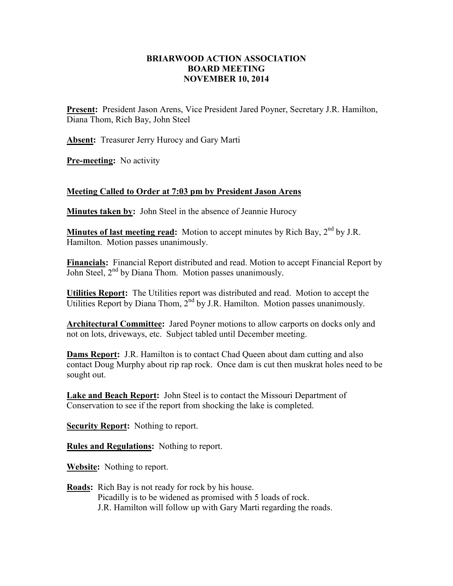## **BRIARWOOD ACTION ASSOCIATION BOARD MEETING NOVEMBER 10, 2014**

**Present:** President Jason Arens, Vice President Jared Poyner, Secretary J.R. Hamilton, Diana Thom, Rich Bay, John Steel

**Absent:** Treasurer Jerry Hurocy and Gary Marti

**Pre-meeting:** No activity

## **Meeting Called to Order at 7:03 pm by President Jason Arens**

**Minutes taken by:** John Steel in the absence of Jeannie Hurocy

**Minutes of last meeting read:** Motion to accept minutes by Rich Bay, 2<sup>nd</sup> by J.R. Hamilton. Motion passes unanimously.

**Financials:** Financial Report distributed and read. Motion to accept Financial Report by John Steel,  $2<sup>nd</sup>$  by Diana Thom. Motion passes unanimously.

**Utilities Report:** The Utilities report was distributed and read. Motion to accept the Utilities Report by Diana Thom,  $2^{nd}$  by J.R. Hamilton. Motion passes unanimously.

**Architectural Committee:** Jared Poyner motions to allow carports on docks only and not on lots, driveways, etc. Subject tabled until December meeting.

**Dams Report:** J.R. Hamilton is to contact Chad Queen about dam cutting and also contact Doug Murphy about rip rap rock. Once dam is cut then muskrat holes need to be sought out.

**Lake and Beach Report:** John Steel is to contact the Missouri Department of Conservation to see if the report from shocking the lake is completed.

**Security Report:** Nothing to report.

**Rules and Regulations:** Nothing to report.

**Website:** Nothing to report.

**Roads:** Rich Bay is not ready for rock by his house. Picadilly is to be widened as promised with 5 loads of rock. J.R. Hamilton will follow up with Gary Marti regarding the roads.